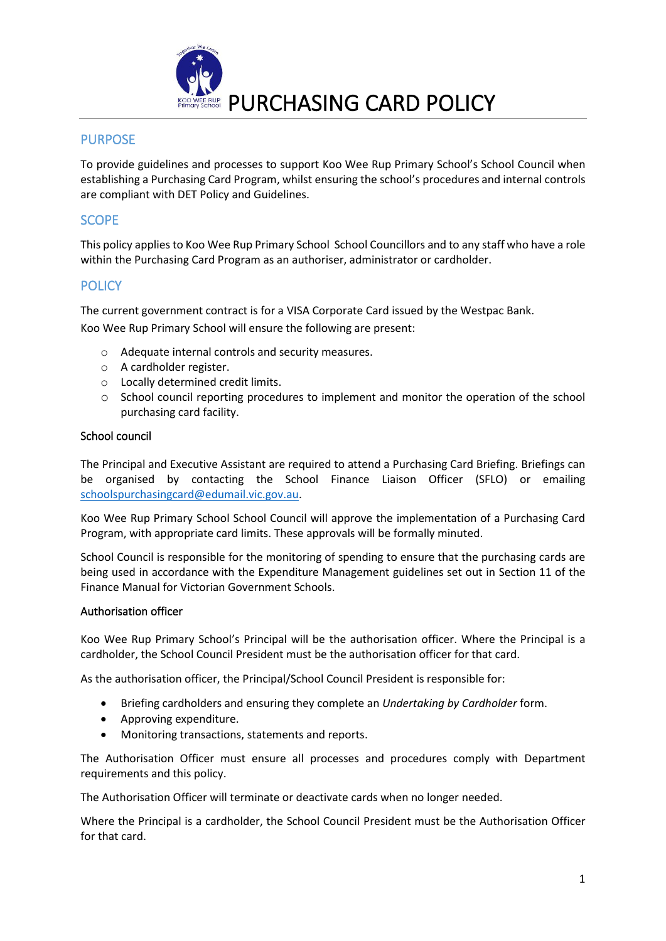

# PURPOSE

To provide guidelines and processes to support Koo Wee Rup Primary School's School Council when establishing a Purchasing Card Program, whilst ensuring the school's procedures and internal controls are compliant with DET Policy and Guidelines.

## **SCOPE**

This policy applies to Koo Wee Rup Primary School School Councillors and to any staff who have a role within the Purchasing Card Program as an authoriser, administrator or cardholder.

## **POLICY**

The current government contract is for a VISA Corporate Card issued by the Westpac Bank. Koo Wee Rup Primary School will ensure the following are present:

- o Adequate internal controls and security measures.
- o A cardholder register.
- o Locally determined credit limits.
- o School council reporting procedures to implement and monitor the operation of the school purchasing card facility.

#### School council

The Principal and Executive Assistant are required to attend a Purchasing Card Briefing. Briefings can be organised by contacting the School Finance Liaison Officer (SFLO) or emailing [schoolspurchasingcard@edumail.vic.gov.au.](mailto:schoolspurchasingcard@edumail.vic.gov.au)

Koo Wee Rup Primary School School Council will approve the implementation of a Purchasing Card Program, with appropriate card limits. These approvals will be formally minuted.

School Council is responsible for the monitoring of spending to ensure that the purchasing cards are being used in accordance with the Expenditure Management guidelines set out in Section 11 of the Finance Manual for Victorian Government Schools.

#### Authorisation officer

Koo Wee Rup Primary School's Principal will be the authorisation officer. Where the Principal is a cardholder, the School Council President must be the authorisation officer for that card.

As the authorisation officer, the Principal/School Council President is responsible for:

- Briefing cardholders and ensuring they complete an *Undertaking by Cardholder* form.
- Approving expenditure.
- Monitoring transactions, statements and reports.

The Authorisation Officer must ensure all processes and procedures comply with Department requirements and this policy.

The Authorisation Officer will terminate or deactivate cards when no longer needed.

Where the Principal is a cardholder, the School Council President must be the Authorisation Officer for that card.